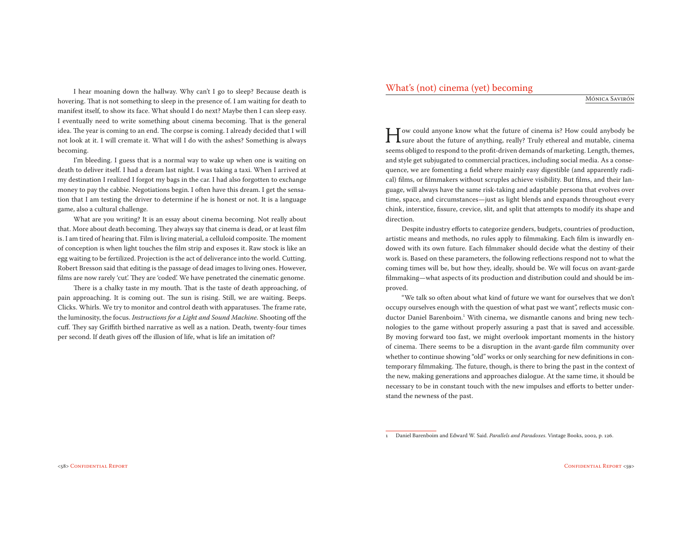I hear moaning down the hallway. Why can't I go to sleep? Because death is hovering. That is not something to sleep in the presence of. I am waiting for death to manifest itself, to show its face. What should I do next? Maybe then I can sleep easy. I eventually need to write something about cinema becoming. That is the general idea. The year is coming to an end. The corpse is coming. I already decided that I will not look at it. I will cremate it. What will I do with the ashes? Something is always becoming.

I'm bleeding. I guess that is a normal way to wake up when one is waiting on death to deliver itself. I had a dream last night. I was taking a taxi. When I arrived at my destination I realized I forgot my bags in the car. I had also forgotten to exchange money to pay the cabbie. Negotiations begin. I often have this dream. I get the sensation that I am testing the driver to determine if he is honest or not. It is a language game, also a cultural challenge.

What are you writing? It is an essay about cinema becoming. Not really about that. More about death becoming. They always say that cinema is dead, or at least film is. I am tired of hearing that. Film is living material, a celluloid composite. The moment of conception is when light touches the film strip and exposes it. Raw stock is like an egg waiting to be fertilized. Projection is the act of deliverance into the world. Cutting. Robert Bresson said that editing is the passage of dead images to living ones. However, films are now rarely 'cut'. They are 'coded'. We have penetrated the cinematic genome.

There is a chalky taste in my mouth. That is the taste of death approaching, of pain approaching. It is coming out. The sun is rising. Still, we are waiting. Beeps. Clicks. Whirls. We try to monitor and control death with apparatuses. The frame rate, the luminosity, the focus. Instructions for a Light and Sound Machine. Shooting off the cuff. They say Griffith birthed narrative as well as a nation. Death, twenty-four times per second. If death gives off the illusion of life, what is life an imitation of?

## What's (not) cinema (yet) becoming

MÓNICA SAVIRÓN

I sure about the future of cinema is? How could anybody be sure about the future of anything, really? Truly ethereal and mutable, cinema seems obliged to regnond to the prefit driven demands of marketing. Length, themes seems obliged to respond to the profit-driven demands of marketing. Length, themes, and style get subjugated to commercial practices, including social media. As a consequence, we are fomenting a field where mainly easy digestible (and apparently radical) films, or filmmakers without scruples achieve visibility. But films, and their language, will always have the same risk-taking and adaptable persona that evolves over time, space, and circumstances—just as light blends and expands throughout every chink, interstice, fissure, crevice, slit, and split that attempts to modify its shape and direction.

Despite industry efforts to categorize genders, budgets, countries of production, artistic means and methods, no rules apply to filmmaking. Each film is inwardly endowed with its own future. Each filmmaker should decide what the destiny of their work is. Based on these parameters, the following reflections respond not to what the coming times will be, but how they, ideally, should be. We will focus on avant-garde filmmaking—what aspects of its production and distribution could and should be improved.

"We talk so often about what kind of future we want for ourselves that we don't occupy ourselves enough with the question of what past we want", reflects music conductor Daniel Barenboim.<sup>1</sup> With cinema, we dismantle canons and bring new technologies to the game without properly assuring a past that is saved and accessible. By moving forward too fast, we might overlook important moments in the history of cinema. There seems to be a disruption in the avant-garde film community over whether to continue showing "old" works or only searching for new definitions in contemporary filmmaking. The future, though, is there to bring the past in the context of the new, making generations and approaches dialogue. At the same time, it should be necessary to be in constant touch with the new impulses and efforts to better understand the newness of the past.

<sup>1</sup> Daniel Barenboim and Edward W. Said. Parallels and Paradoxes. Vintage Books, 2002, p. 126.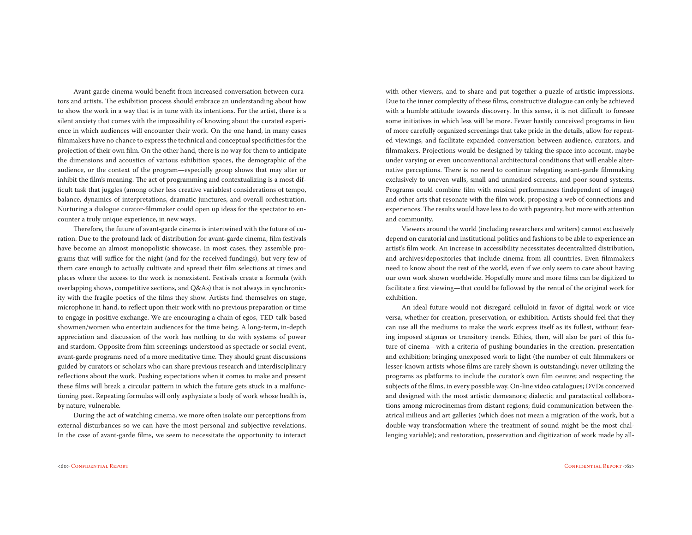Avant-garde cinema would benefit from increased conversation between curators and artists. The exhibition process should embrace an understanding about how to show the work in a way that is in tune with its intentions. For the artist, there is a silent anxiety that comes with the impossibility of knowing about the curated experience in which audiences will encounter their work. On the one hand, in many cases filmmakers have no chance to express the technical and conceptual specificities for the projection of their own film. On the other hand, there is no way for them to anticipate the dimensions and acoustics of various exhibition spaces, the demographic of the audience, or the context of the program—especially group shows that may alter or inhibit the film's meaning. The act of programming and contextualizing is a most difficult task that juggles (among other less creative variables) considerations of tempo, balance, dynamics of interpretations, dramatic junctures, and overall orchestration. Nurturing a dialogue curator-filmmaker could open up ideas for the spectator to encounter a truly unique experience, in new ways.

Therefore, the future of avant-garde cinema is intertwined with the future of curation. Due to the profound lack of distribution for avant-garde cinema, film festivals have become an almost monopolistic showcase. In most cases, they assemble programs that will suffice for the night (and for the received fundings), but very few of them care enough to actually cultivate and spread their film selections at times and places where the access to the work is nonexistent. Festivals create a formula (with overlapping shows, competitive sections, and Q&As) that is not always in synchronicity with the fragile poetics of the films they show. Artists find themselves on stage, microphone in hand, to reflect upon their work with no previous preparation or time to engage in positive exchange. We are encouraging a chain of egos, TED-talk-based showmen/women who entertain audiences for the time being. A long-term, in-depth appreciation and discussion of the work has nothing to do with systems of power and stardom. Opposite from film screenings understood as spectacle or social event, avant-garde programs need of a more meditative time. They should grant discussions guided by curators or scholars who can share previous research and interdisciplinary reflections about the work. Pushing expectations when it comes to make and present these films will break a circular pattern in which the future gets stuck in a malfunctioning past. Repeating formulas will only asphyxiate a body of work whose health is, by nature, vulnerable.

During the act of watching cinema, we more often isolate our perceptions from external disturbances so we can have the most personal and subjective revelations. In the case of avant-garde films, we seem to necessitate the opportunity to interact with other viewers, and to share and put together a puzzle of artistic impressions. Due to the inner complexity of these films, constructive dialogue can only be achieved with a humble attitude towards discovery. In this sense, it is not difficult to foresee some initiatives in which less will be more. Fewer hastily conceived programs in lieu of more carefully organized screenings that take pride in the details, allow for repeated viewings, and facilitate expanded conversation between audience, curators, and filmmakers. Projections would be designed by taking the space into account, maybe under varying or even unconventional architectural conditions that will enable alternative perceptions. There is no need to continue relegating avant-garde filmmaking exclusively to uneven walls, small and unmasked screens, and poor sound systems. Programs could combine film with musical performances (independent of images) and other arts that resonate with the film work, proposing a web of connections and experiences. The results would have less to do with pageantry, but more with attention and community.

Viewers around the world (including researchers and writers) cannot exclusively depend on curatorial and institutional politics and fashions to be able to experience an artist's film work. An increase in accessibility necessitates decentralized distribution, and archives/depositories that include cinema from all countries. Even filmmakers need to know about the rest of the world, even if we only seem to care about having our own work shown worldwide. Hopefully more and more films can be digitized to facilitate a first viewing—that could be followed by the rental of the original work for exhibition.

An ideal future would not disregard celluloid in favor of digital work or vice versa, whether for creation, preservation, or exhibition. Artists should feel that they can use all the mediums to make the work express itself as its fullest, without fearing imposed stigmas or transitory trends. Ethics, then, will also be part of this future of cinema—with a criteria of pushing boundaries in the creation, presentation and exhibition; bringing unexposed work to light (the number of cult filmmakers or lesser-known artists whose films are rarely shown is outstanding); never utilizing the programs as platforms to include the curator's own film oeuvre; and respecting the subjects of the films, in every possible way. On-line video catalogues; DVDs conceived and designed with the most artistic demeanors; dialectic and paratactical collaborations among microcinemas from distant regions; fluid communication between theatrical milieus and art galleries (which does not mean a migration of the work, but a double-way transformation where the treatment of sound might be the most challenging variable); and restoration, preservation and digitization of work made by all-